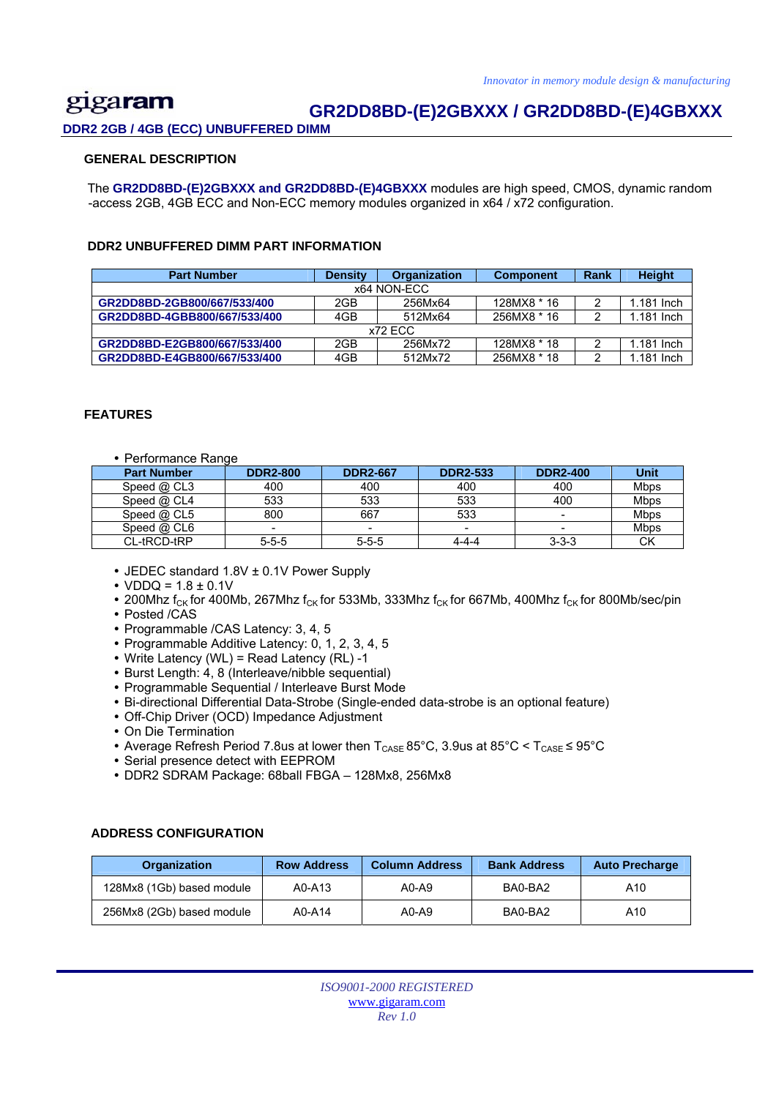#### gigaram  **GR2DD8BD-(E)2GBXXX / GR2DD8BD-(E)4GBXXX DDR2 2GB / 4GB (ECC) UNBUFFERED DIMM**

### **GENERAL DESCRIPTION**

 The **GR2DD8BD-(E)2GBXXX and GR2DD8BD-(E)4GBXXX** modules are high speed, CMOS, dynamic random -access 2GB, 4GB ECC and Non-ECC memory modules organized in x64 / x72 configuration.

### **DDR2 UNBUFFERED DIMM PART INFORMATION**

| <b>Part Number</b>           | <b>Density</b> | <b>Organization</b> | <b>Component</b> | Rank | <b>Height</b> |
|------------------------------|----------------|---------------------|------------------|------|---------------|
|                              |                | x64 NON-ECC         |                  |      |               |
| GR2DD8BD-2GB800/667/533/400  | 2GB            | 256Mx64             | 128MX8 * 16      |      | 1.181 Inch    |
| GR2DD8BD-4GBB800/667/533/400 | 4GB            | 512Mx64             | 256MX8 * 16      |      | 1.181 Inch    |
|                              |                | x72 ECC             |                  |      |               |
| GR2DD8BD-E2GB800/667/533/400 | 2GB            | 256Mx72             | 128MX8 * 18      |      | 1.181 Inch    |
| GR2DD8BD-E4GB800/667/533/400 | 4GB            | 512Mx72             | 256MX8 * 18      |      | 1.181 Inch    |

#### **FEATURES**

• Performance Range

| <b>Part Number</b> | <b>DDR2-800</b> | <b>DDR2-667</b> | <b>DDR2-533</b> | <b>DDR2-400</b> | Unit        |
|--------------------|-----------------|-----------------|-----------------|-----------------|-------------|
| Speed $@$ CL3      | 400             | 400             | 400             | 400             | <b>Mbps</b> |
| Speed $@$ CL4      | 533             | 533             | 533             | 400             | <b>Mbps</b> |
| Speed $@$ CL5      | 800             | 667             | 533             | -               | <b>Mbps</b> |
| Speed $@$ CL6      |                 |                 |                 | -               | Mbps        |
| CL-tRCD-tRP        | $5 - 5 - 5$     | $5 - 5 - 5$     | 4-4-4           | $3 - 3 - 3$     | СK          |

- JEDEC standard 1.8V ± 0.1V Power Supply
- $VDDQ = 1.8 \pm 0.1V$
- 200Mhz  $f_{CK}$  for 400Mb, 267Mhz  $f_{CK}$  for 533Mb, 333Mhz  $f_{CK}$  for 667Mb, 400Mhz  $f_{CK}$  for 800Mb/sec/pin
- Posted /CAS
- Programmable /CAS Latency: 3, 4, 5
- Programmable Additive Latency: 0, 1, 2, 3, 4, 5
- Write Latency (WL) = Read Latency (RL) -1
- Burst Length: 4, 8 (Interleave/nibble sequential)
- Programmable Sequential / Interleave Burst Mode
- y Bi-directional Differential Data-Strobe (Single-ended data-strobe is an optional feature)
- Off-Chip Driver (OCD) Impedance Adjustment
- On Die Termination
- Average Refresh Period 7.8us at lower then  $T_{CASE}$  85°C, 3.9us at 85°C <  $T_{CASE} \leq 95^{\circ}C$
- Serial presence detect with EEPROM
- y DDR2 SDRAM Package: 68ball FBGA 128Mx8, 256Mx8

### **ADDRESS CONFIGURATION**

| <b>Organization</b>       | <b>Row Address</b> | <b>Column Address</b> | <b>Bank Address</b> | <b>Auto Precharge</b> |
|---------------------------|--------------------|-----------------------|---------------------|-----------------------|
| 128Mx8 (1Gb) based module | A0-A13             | $A0-A9$               | BA0-BA2             | A10                   |
| 256Mx8 (2Gb) based module | A0-A14             | $A0-A9$               | BA0-BA2             | A10                   |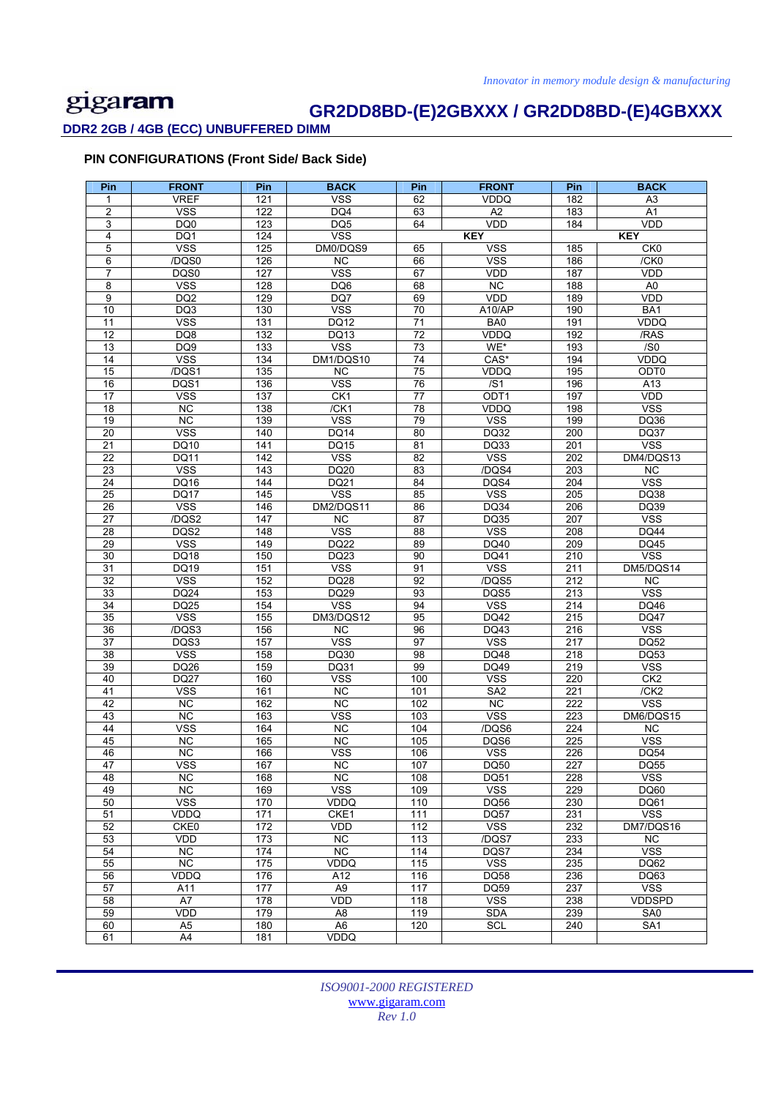# **GR2DD8BD-(E)2GBXXX / GR2DD8BD-(E)4GBXXX**

**DDR2 2GB / 4GB (ECC) UNBUFFERED DIMM** 

### **PIN CONFIGURATIONS (Front Side/ Back Side)**

| Pin                   | <b>FRONT</b>                    | Pin        | <b>BACK</b>               | Pin                   | <b>FRONT</b>       | Pin        | <b>BACK</b>                |
|-----------------------|---------------------------------|------------|---------------------------|-----------------------|--------------------|------------|----------------------------|
| 1                     | <b>VREF</b>                     | 121        | <b>VSS</b>                | 62                    | <b>VDDQ</b>        | 182        | $\overline{A3}$            |
| 2                     | <b>VSS</b>                      | 122        | DQ4                       | 63                    | А2                 | 183        | A1                         |
| 3                     | DQ0                             | 123        | DQ5                       | 64                    | <b>VDD</b>         | 184        | VDD                        |
| 4                     | DQ1                             | 124        | <b>VSS</b>                |                       | <b>KEY</b>         |            | <b>KEY</b>                 |
| 5                     | <b>VSS</b>                      | 125        | DM0/DQS9                  | 65                    | <b>VSS</b>         | 185        | CK <sub>0</sub>            |
| 6                     | /DQS0                           | 126        | $\overline{NC}$           | 66                    | <b>VSS</b>         | 186        | /CKO                       |
| $\overline{7}$        | DQS0                            | 127        | <b>VSS</b>                | 67                    | <b>VDD</b>         | 187        | VDD                        |
| 8                     | <b>VSS</b>                      | 128        | DQ6                       | 68                    | <b>NC</b>          | 188        | A <sub>0</sub>             |
| 9                     | DQ <sub>2</sub>                 | 129        | DQ7                       | 69                    | <b>VDD</b>         | 189        | VDD                        |
| 10<br>$\overline{11}$ | DQ3<br><b>VSS</b>               | 130<br>131 | <b>VSS</b><br><b>DQ12</b> | 70<br>$\overline{71}$ | A10/AP<br>BA0      | 190<br>191 | BA1<br><b>VDDQ</b>         |
| $\overline{12}$       | DQ8                             | 132        | DQ13                      | $\overline{72}$       | VDDQ               | 192        | /RAS                       |
| 13                    | DQ9                             | 133        | <b>VSS</b>                | $\overline{73}$       | WE*                | 193        | $\overline{S}$             |
| $\overline{14}$       | <b>VSS</b>                      | 134        | DM1/DQS10                 | 74                    | $CAS*$             | 194        | <b>VDDQ</b>                |
| 15                    | /DQS1                           | 135        | <b>NC</b>                 | 75                    | VDDQ               | 195        | ODT0                       |
| 16                    | DQS1                            | 136        | <b>VSS</b>                | 76                    | /SI                | 196        | A13                        |
| $\overline{17}$       | <b>VSS</b>                      | 137        | CK1                       | 77                    | ODT <sub>1</sub>   | 197        | VDD                        |
| 18                    | <b>NC</b>                       | 138        | /CK1                      | 78                    | VDDQ               | 198        | <b>VSS</b>                 |
| 19                    | NC.                             | 139        | <b>VSS</b>                | 79                    | <b>VSS</b>         | 199        | <b>DQ36</b>                |
| $\overline{20}$       | <b>VSS</b>                      | 140        | DQ14                      | 80                    | DQ32               | 200        | <b>DQ37</b>                |
| 21                    | DQ10                            | 141        | DQ15                      | 81                    | DQ33               | 201        | <b>VSS</b>                 |
| 22                    | <b>DQ11</b>                     | 142        | <b>VSS</b>                | 82                    | <b>VSS</b>         | 202        | DM4/DQS13                  |
| 23                    | <b>VSS</b>                      | 143        | DQ20                      | 83                    | /DQS4              | 203        | <b>NC</b>                  |
| 24                    | <b>DQ16</b>                     | 144        | <b>DQ21</b>               | 84                    | DQS4               | 204        | <b>VSS</b>                 |
| $\overline{25}$       | <b>DQ17</b>                     | 145        | <b>VSS</b>                | 85                    | <b>VSS</b>         | 205        | DQ38                       |
| 26                    | <b>VSS</b>                      | 146        | DM2/DQS11                 | 86                    | DQ34               | 206        | DQ39                       |
| $\overline{27}$       | /DQS2                           | 147        | <b>NC</b>                 | 87                    | DQ35               | 207        | <b>VSS</b>                 |
| 28<br>29              | DQS2<br>$\overline{\text{VSS}}$ | 148<br>149 | <b>VSS</b><br><b>DQ22</b> | 88<br>89              | <b>VSS</b><br>DQ40 | 208<br>209 | <b>DQ44</b><br><b>DQ45</b> |
| 30                    | <b>DQ18</b>                     | 150        | DQ23                      | 90                    | DQ41               | 210        | <b>VSS</b>                 |
| 31                    | DQ19                            | 151        | <b>VSS</b>                | 91                    | <b>VSS</b>         | 211        | DM5/DQS14                  |
| 32                    | $\overline{\text{VSS}}$         | 152        | DQ28                      | 92                    | /DQS5              | 212        | <b>NC</b>                  |
| 33                    | DQ24                            | 153        | DQ29                      | 93                    | DQS5               | 213        | <b>VSS</b>                 |
| $\overline{34}$       | <b>DQ25</b>                     | 154        | <b>VSS</b>                | 94                    | <b>VSS</b>         | 214        | DQ46                       |
| 35                    | <b>VSS</b>                      | 155        | DM3/DQS12                 | 95                    | DQ42               | 215        | <b>DQ47</b>                |
| 36                    | /DQS3                           | 156        | <b>NC</b>                 | 96                    | DQ43               | 216        | $\overline{\text{VSS}}$    |
| $\overline{37}$       | DQS3                            | 157        | <b>VSS</b>                | 97                    | <b>VSS</b>         | 217        | <b>DQ52</b>                |
| 38                    | <b>VSS</b>                      | 158        | DQ30                      | 98                    | DQ48               | 218        | DQ53                       |
| 39                    | DQ26                            | 159        | DQ31                      | 99                    | DQ49               | 219        | <b>VSS</b>                 |
| 40                    | <b>DQ27</b>                     | 160        | <b>VSS</b>                | 100                   | <b>VSS</b>         | 220        | CK <sub>2</sub>            |
| 41                    | <b>VSS</b>                      | 161        | <b>NC</b>                 | 101                   | SA <sub>2</sub>    | 221        | /CK2                       |
| 42                    | <b>NC</b>                       | 162        | <b>NC</b>                 | 102                   | NC                 | 222        | <b>VSS</b>                 |
| 43                    | <b>NC</b>                       | 163        | <b>VSS</b>                | 103                   | <b>VSS</b>         | 223        | DM6/DQS15                  |
| 44                    | <b>VSS</b>                      | 164        | <b>NC</b>                 | 104                   | /DQS6              | 224        | <b>NC</b>                  |
| 45<br>46              | NC<br><b>NC</b>                 | 165<br>166 | NC<br><b>VSS</b>          | 105<br>106            | DQS6<br><b>VSS</b> | 225<br>226 | <b>VSS</b><br><b>DQ54</b>  |
|                       |                                 |            |                           |                       |                    |            |                            |
| 47<br>48              | vss<br>NC.                      | 167<br>168 | NС<br><b>NC</b>           | 107<br>108            | DQ50<br>DQ51       | 227<br>228 | DQ55<br><b>VSS</b>         |
| 49                    | NC.                             | 169        | <b>VSS</b>                | 109                   | <b>VSS</b>         | 229        | DQ60                       |
| 50                    | <b>VSS</b>                      | 170        | VDDQ                      | 110                   | <b>DQ56</b>        | 230        | DQ61                       |
| 51                    | VDDQ                            | 171        | CKE1                      | 111                   | <b>DQ57</b>        | 231        | <b>VSS</b>                 |
| 52                    | CKE0                            | 172        | VDD                       | $\overline{112}$      | <b>VSS</b>         | 232        | DM7/DQS16                  |
| 53                    | VDD                             | 173        | NC                        | 113                   | /DQS7              | 233        | NC                         |
| 54                    | <b>NC</b>                       | 174        | NC                        | $\frac{114}{114}$     | DQS7               | 234        | <b>VSS</b>                 |
| 55                    | NC                              | 175        | VDDQ                      | 115                   | <b>VSS</b>         | 235        | DQ62                       |
| 56                    | VDDQ                            | 176        | A12                       | 116                   | DQ58               | 236        | DQ63                       |
| 57                    | A11                             | 177        | A <sub>9</sub>            | 117                   | DQ59               | 237        | <b>VSS</b>                 |
| 58                    | A7                              | 178        | VDD                       | 118                   | <b>VSS</b>         | 238        | <b>VDDSPD</b>              |
| 59                    | VDD                             | 179        | A8                        | 119                   | <b>SDA</b>         | 239        | SA <sub>0</sub>            |
| 60                    | A <sub>5</sub>                  | 180        | A <sub>6</sub>            | 120                   | SCL                | 240        | SA <sub>1</sub>            |
| 61                    | A4                              | 181        | VDDQ                      |                       |                    |            |                            |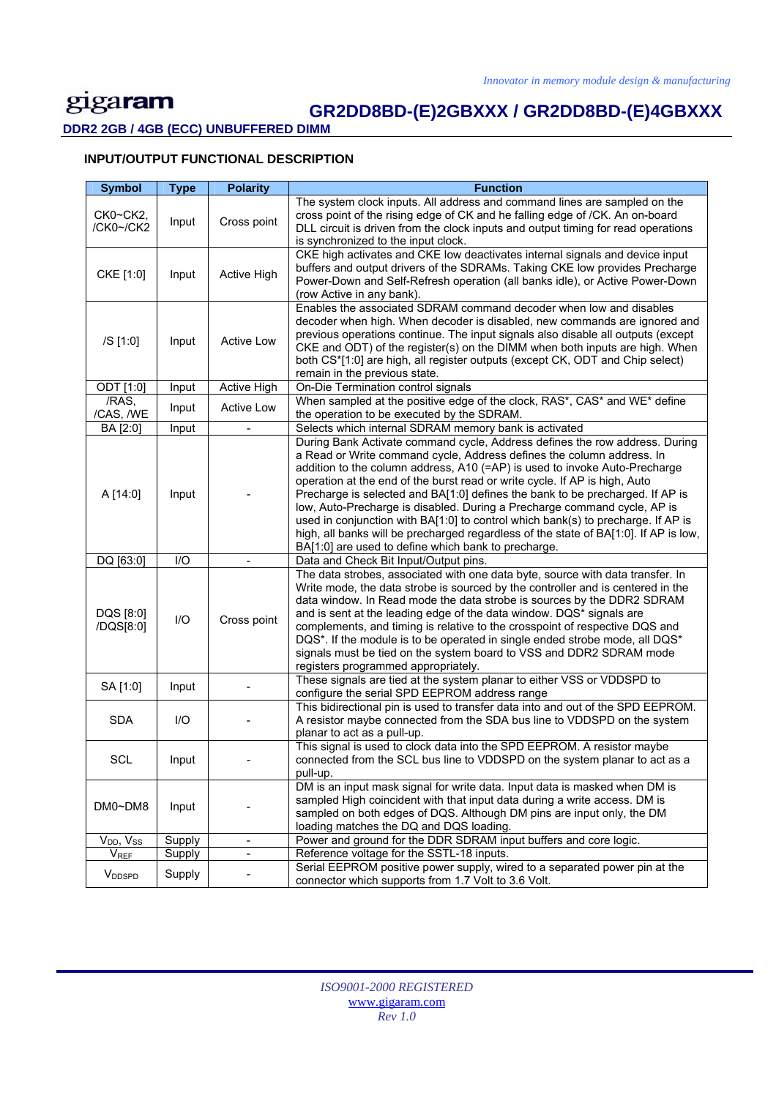# **GR2DD8BD-(E)2GBXXX / GR2DD8BD-(E)4GBXXX**

**DDR2 2GB / 4GB (ECC) UNBUFFERED DIMM** 

### **INPUT/OUTPUT FUNCTIONAL DESCRIPTION**

| <b>Symbol</b>                     | <b>Type</b> | <b>Polarity</b>   | <b>Function</b>                                                                                                                                                                                                                                                                                                                                                                                                                                                                                                                                                                                                                                                                                                  |
|-----------------------------------|-------------|-------------------|------------------------------------------------------------------------------------------------------------------------------------------------------------------------------------------------------------------------------------------------------------------------------------------------------------------------------------------------------------------------------------------------------------------------------------------------------------------------------------------------------------------------------------------------------------------------------------------------------------------------------------------------------------------------------------------------------------------|
| CK0~CK2,<br>/CK0~/CK2             | Input       | Cross point       | The system clock inputs. All address and command lines are sampled on the<br>cross point of the rising edge of CK and he falling edge of /CK. An on-board<br>DLL circuit is driven from the clock inputs and output timing for read operations<br>is synchronized to the input clock.                                                                                                                                                                                                                                                                                                                                                                                                                            |
| CKE [1:0]                         | Input       | Active High       | CKE high activates and CKE low deactivates internal signals and device input<br>buffers and output drivers of the SDRAMs. Taking CKE low provides Precharge<br>Power-Down and Self-Refresh operation (all banks idle), or Active Power-Down<br>(row Active in any bank).                                                                                                                                                                                                                                                                                                                                                                                                                                         |
| /S [1:0]                          | Input       | <b>Active Low</b> | Enables the associated SDRAM command decoder when low and disables<br>decoder when high. When decoder is disabled, new commands are ignored and<br>previous operations continue. The input signals also disable all outputs (except<br>CKE and ODT) of the register(s) on the DIMM when both inputs are high. When<br>both CS*[1:0] are high, all register outputs (except CK, ODT and Chip select)<br>remain in the previous state.                                                                                                                                                                                                                                                                             |
| ODT [1:0]                         | Input       | Active High       | On-Die Termination control signals                                                                                                                                                                                                                                                                                                                                                                                                                                                                                                                                                                                                                                                                               |
| /RAS,<br>/CAS, /WE                | Input       | <b>Active Low</b> | When sampled at the positive edge of the clock, RAS*, CAS* and WE* define<br>the operation to be executed by the SDRAM.                                                                                                                                                                                                                                                                                                                                                                                                                                                                                                                                                                                          |
| BA [2:0]                          | Input       |                   | Selects which internal SDRAM memory bank is activated                                                                                                                                                                                                                                                                                                                                                                                                                                                                                                                                                                                                                                                            |
| A [14:0]                          | Input       |                   | During Bank Activate command cycle, Address defines the row address. During<br>a Read or Write command cycle, Address defines the column address. In<br>addition to the column address, A10 (=AP) is used to invoke Auto-Precharge<br>operation at the end of the burst read or write cycle. If AP is high, Auto<br>Precharge is selected and BA[1:0] defines the bank to be precharged. If AP is<br>low, Auto-Precharge is disabled. During a Precharge command cycle, AP is<br>used in conjunction with BA[1:0] to control which bank(s) to precharge. If AP is<br>high, all banks will be precharged regardless of the state of BA[1:0]. If AP is low,<br>BA[1:0] are used to define which bank to precharge. |
| DQ [63:0]                         | I/O         |                   | Data and Check Bit Input/Output pins.                                                                                                                                                                                                                                                                                                                                                                                                                                                                                                                                                                                                                                                                            |
| DQS [8:0]<br>/DQS[8:0]            | I/O         | Cross point       | The data strobes, associated with one data byte, source with data transfer. In<br>Write mode, the data strobe is sourced by the controller and is centered in the<br>data window. In Read mode the data strobe is sources by the DDR2 SDRAM<br>and is sent at the leading edge of the data window. DQS* signals are<br>complements, and timing is relative to the crosspoint of respective DQS and<br>DQS*. If the module is to be operated in single ended strobe mode, all DQS*<br>signals must be tied on the system board to VSS and DDR2 SDRAM mode<br>registers programmed appropriately.                                                                                                                  |
| SA [1:0]                          | Input       |                   | These signals are tied at the system planar to either VSS or VDDSPD to<br>configure the serial SPD EEPROM address range                                                                                                                                                                                                                                                                                                                                                                                                                                                                                                                                                                                          |
| <b>SDA</b>                        | I/O         |                   | This bidirectional pin is used to transfer data into and out of the SPD EEPROM.<br>A resistor maybe connected from the SDA bus line to VDDSPD on the system<br>planar to act as a pull-up.                                                                                                                                                                                                                                                                                                                                                                                                                                                                                                                       |
| <b>SCL</b>                        | Input       |                   | This signal is used to clock data into the SPD EEPROM. A resistor maybe<br>connected from the SCL bus line to VDDSPD on the system planar to act as a<br>pull-up.                                                                                                                                                                                                                                                                                                                                                                                                                                                                                                                                                |
| DM0~DM8                           | Input       |                   | DM is an input mask signal for write data. Input data is masked when DM is<br>sampled High coincident with that input data during a write access. DM is<br>sampled on both edges of DQS. Although DM pins are input only, the DM<br>loading matches the DQ and DQS loading.                                                                                                                                                                                                                                                                                                                                                                                                                                      |
| V <sub>DD</sub> , V <sub>SS</sub> | Supply      | $\blacksquare$    | Power and ground for the DDR SDRAM input buffers and core logic.                                                                                                                                                                                                                                                                                                                                                                                                                                                                                                                                                                                                                                                 |
| <b>V<sub>REF</sub></b>            | Supply      | $\blacksquare$    | Reference voltage for the SSTL-18 inputs.                                                                                                                                                                                                                                                                                                                                                                                                                                                                                                                                                                                                                                                                        |
| <b>V</b> <sub>DDSPD</sub>         | Supply      |                   | Serial EEPROM positive power supply, wired to a separated power pin at the<br>connector which supports from 1.7 Volt to 3.6 Volt.                                                                                                                                                                                                                                                                                                                                                                                                                                                                                                                                                                                |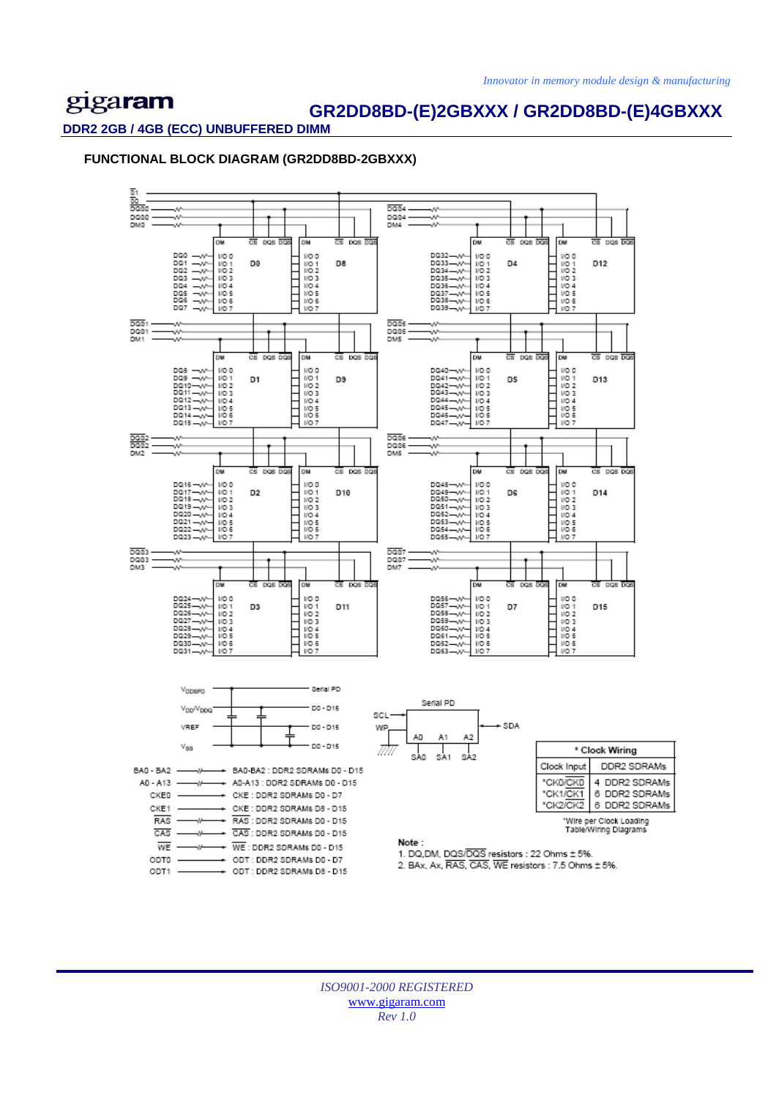### **GR2DD8BD-(E)2GBXXX / GR2DD8BD-(E)4GBXXX**

#### **DDR2 2GB / 4GB (ECC) UNBUFFERED DIMM**

ODT1

### **FUNCTIONAL BLOCK DIAGRAM (GR2DD8BD-2GBXXX)**



2. BAx. Ax. RAS. CAS. WE resistors : 7.5 Ohms ± 5%.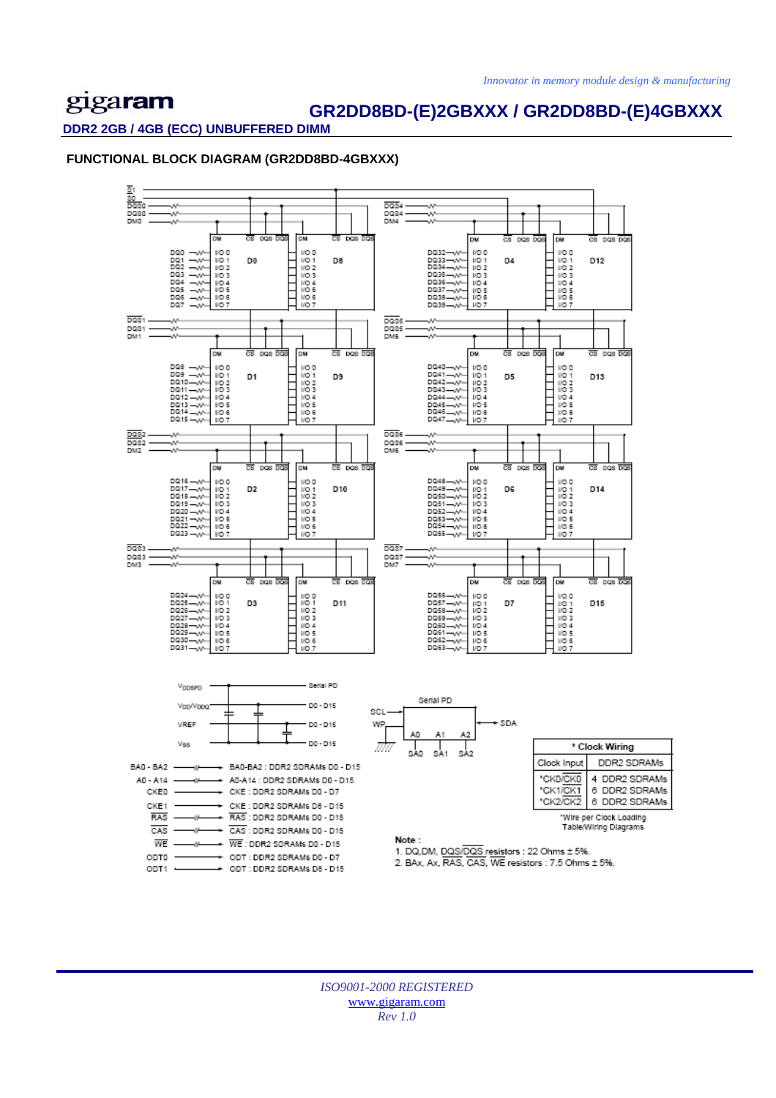### **GR2DD8BD-(E)2GBXXX / GR2DD8BD-(E)4GBXXX**

#### **DDR2 2GB / 4GB (ECC) UNBUFFERED DIMM**

### **FUNCTIONAL BLOCK DIAGRAM (GR2DD8BD-4GBXXX)**

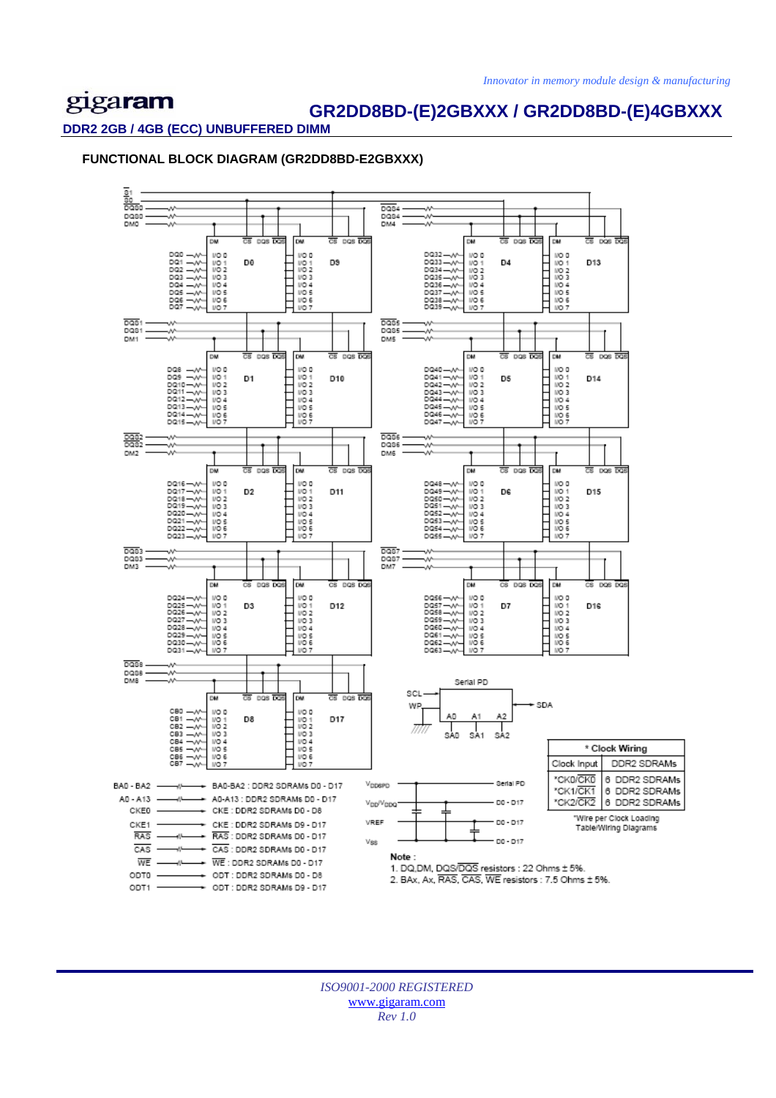### **GR2DD8BD-(E)2GBXXX / GR2DD8BD-(E)4GBXXX**

#### **DDR2 2GB / 4GB (ECC) UNBUFFERED DIMM**

### **FUNCTIONAL BLOCK DIAGRAM (GR2DD8BD-E2GBXXX)**

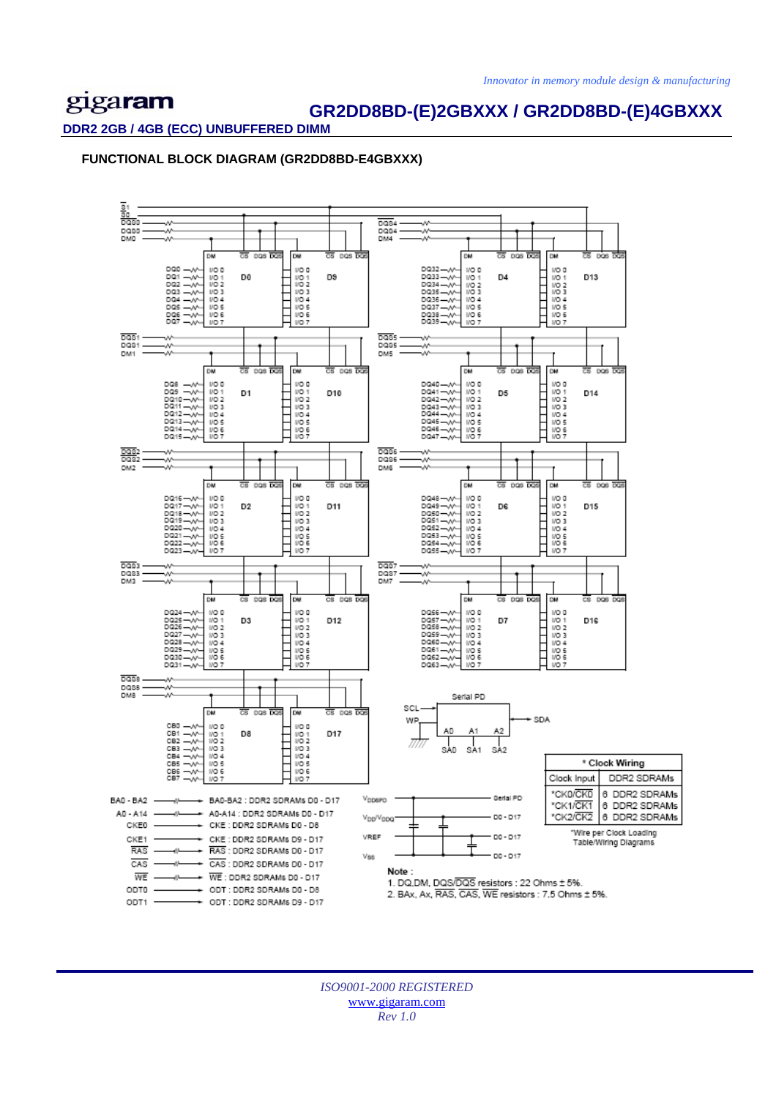### **GR2DD8BD-(E)2GBXXX / GR2DD8BD-(E)4GBXXX**

**DDR2 2GB / 4GB (ECC) UNBUFFERED DIMM** 

**FUNCTIONAL BLOCK DIAGRAM (GR2DD8BD-E4GBXXX)** 

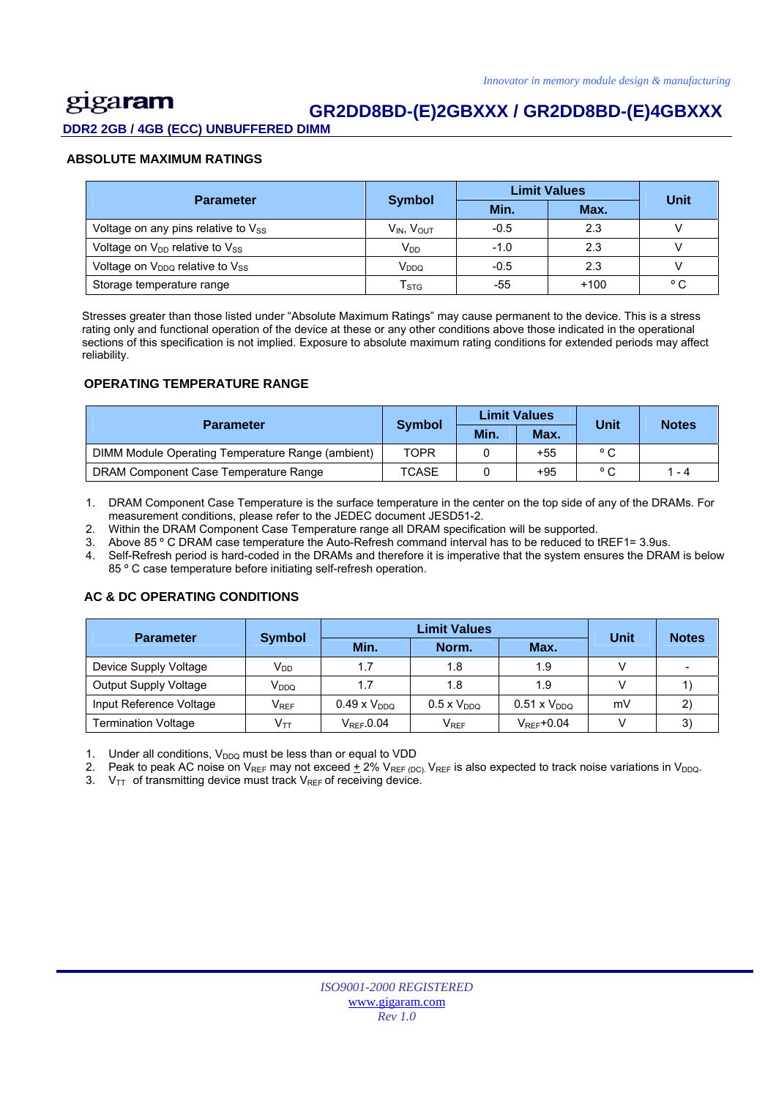### gigaram  **GR2DD8BD-(E)2GBXXX / GR2DD8BD-(E)4GBXXX**

**DDR2 2GB / 4GB (ECC) UNBUFFERED DIMM** 

### **ABSOLUTE MAXIMUM RATINGS**

| <b>Parameter</b>                                        |                                    | <b>Limit Values</b> | <b>Unit</b> |              |
|---------------------------------------------------------|------------------------------------|---------------------|-------------|--------------|
|                                                         | <b>Symbol</b>                      | Min.                | Max.        |              |
| Voltage on any pins relative to Vss                     | V <sub>IN</sub> , V <sub>OUT</sub> | $-0.5$              | 2.3         |              |
| Voltage on $V_{DD}$ relative to $V_{SS}$                | $V_{DD}$                           | $-1.0$              | 2.3         |              |
| Voltage on V <sub>DDQ</sub> relative to V <sub>SS</sub> | V <sub>DDQ</sub>                   | $-0.5$              | 2.3         |              |
| Storage temperature range                               | $\mathsf{T}_{\text{STG}}$          | -55                 | $+100$      | $^{\circ}$ C |

 Stresses greater than those listed under "Absolute Maximum Ratings" may cause permanent to the device. This is a stress rating only and functional operation of the device at these or any other conditions above those indicated in the operational sections of this specification is not implied. Exposure to absolute maximum rating conditions for extended periods may affect reliability.

### **OPERATING TEMPERATURE RANGE**

| <b>Parameter</b>                                  |               |      | <b>Limit Values</b> | Unit           | <b>Notes</b> |
|---------------------------------------------------|---------------|------|---------------------|----------------|--------------|
|                                                   | <b>Symbol</b> | Min. | Max.                |                |              |
| DIMM Module Operating Temperature Range (ambient) | TOPR          |      | +55                 | ° C            |              |
| DRAM Component Case Temperature Range             | <b>TCASE</b>  |      | +95                 | $\circ$ $\sim$ | 1 - 4        |

1. DRAM Component Case Temperature is the surface temperature in the center on the top side of any of the DRAMs. For measurement conditions, please refer to the JEDEC document JESD51-2.

2. Within the DRAM Component Case Temperature range all DRAM specification will be supported.

3. Above 85 º C DRAM case temperature the Auto-Refresh command interval has to be reduced to tREF1= 3.9us.

4. Self-Refresh period is hard-coded in the DRAMs and therefore it is imperative that the system ensures the DRAM is below 85 º C case temperature before initiating self-refresh operation.

### **AC & DC OPERATING CONDITIONS**

| <b>Parameter</b>           |                             |                       | Limit Values                |                        | Unit | <b>Notes</b> |
|----------------------------|-----------------------------|-----------------------|-----------------------------|------------------------|------|--------------|
|                            | <b>Symbol</b>               | Min.                  | Norm.                       | Max.                   |      |              |
| Device Supply Voltage      | $V_{DD}$                    | 1.7                   | 1.8                         | 1.9                    |      |              |
| Output Supply Voltage      | V <sub>DDQ</sub>            | 1.7                   | 1.8                         | 1.9                    |      |              |
| Input Reference Voltage    | $\mathsf{V}_{\mathsf{REF}}$ | $0.49 \times V_{DDQ}$ | $0.5 \times V_{DDO}$        | $0.51 \times V_{DDO}$  | mV   |              |
| <b>Termination Voltage</b> |                             | $V_{\rm{RFF}}$ -0.04  | $\mathsf{V}_{\mathsf{REF}}$ | $V_{\text{RFF}}$ +0.04 |      | 3)           |

1. Under all conditions,  $V_{DDQ}$  must be less than or equal to VDD

2. Peak to peak AC noise on V<sub>REF</sub> may not exceed  $\pm$  2% V<sub>REF (DC)</sub>. V<sub>REF</sub> is also expected to track noise variations in V<sub>DDQ</sub>.<br>3. V<sub>TT</sub> of transmitting device must track V<sub>PFF</sub> of receiving device.

 $V_{TT}$  of transmitting device must track V<sub>REF</sub> of receiving device.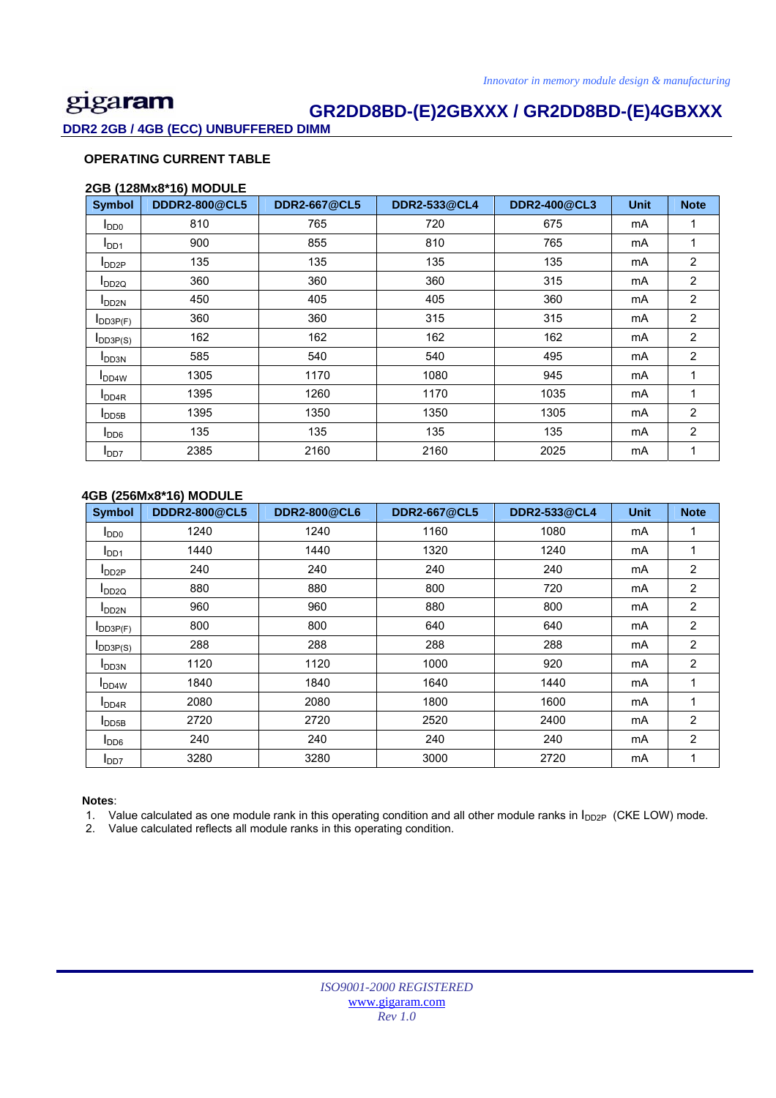### **GR2DD8BD-(E)2GBXXX / GR2DD8BD-(E)4GBXXX**

**DDR2 2GB / 4GB (ECC) UNBUFFERED DIMM** 

### **OPERATING CURRENT TABLE**

### **2GB (128Mx8\*16) MODULE**

| <b>Symbol</b>              | <b>DDDR2-800@CL5</b> | <b>DDR2-667@CL5</b> | <b>DDR2-533@CL4</b> | <b>DDR2-400@CL3</b> | <b>Unit</b> | <b>Note</b>    |
|----------------------------|----------------------|---------------------|---------------------|---------------------|-------------|----------------|
| $I_{DD0}$                  | 810                  | 765                 | 720                 | 675                 | mA          |                |
| I <sub>DD1</sub>           | 900                  | 855                 | 810                 | 765                 | mA          | 1              |
| $I_{DD2P}$                 | 135                  | 135                 | 135                 | 135                 | mA          | 2              |
| $I_{DD2Q}$                 | 360                  | 360                 | 360                 | 315                 | mA          | 2              |
| <b>I</b> DD <sub>2N</sub>  | 450                  | 405                 | 405                 | 360                 | mA          | $\overline{c}$ |
| IDD3P(F)                   | 360                  | 360                 | 315                 | 315                 | mA          | 2              |
| $I_{DD3P(S)}$              | 162                  | 162                 | 162                 | 162                 | mA          | 2              |
| <b>I</b> DD3N              | 585                  | 540                 | 540                 | 495                 | mA          | 2              |
| <b>I</b> DD <sub>4</sub> W | 1305                 | 1170                | 1080                | 945                 | mA          | 1              |
| <b>I</b> DD <sub>4R</sub>  | 1395                 | 1260                | 1170                | 1035                | mA          |                |
| $I_{DD5B}$                 | 1395                 | 1350                | 1350                | 1305                | mA          | 2              |
| $I_{DD6}$                  | 135                  | 135                 | 135                 | 135                 | mA          | 2              |
| <b>I</b> DD7               | 2385                 | 2160                | 2160                | 2025                | mA          | 1              |

### **4GB (256Mx8\*16) MODULE**

| <b>Symbol</b>             | <b>DDDR2-800@CL5</b> | <b>DDR2-800@CL6</b> | <b>DDR2-667@CL5</b> | <b>DDR2-533@CL4</b> | <b>Unit</b> | <b>Note</b>    |
|---------------------------|----------------------|---------------------|---------------------|---------------------|-------------|----------------|
| $I_{DD0}$                 | 1240                 | 1240                | 1160                | 1080                | mA          | 1              |
| I <sub>DD1</sub>          | 1440                 | 1440                | 1320                | 1240                | mA          | 1              |
| $I_{DD2P}$                | 240                  | 240                 | 240                 | 240                 | mA          | $\overline{2}$ |
| $I_{DD2Q}$                | 880                  | 880                 | 800                 | 720                 | mA          | 2              |
| <b>I</b> DD <sub>2N</sub> | 960                  | 960                 | 880                 | 800                 | mA          | $\overline{2}$ |
| IDD3P(F)                  | 800                  | 800                 | 640                 | 640                 | mA          | 2              |
| $I_{DD3P(S)}$             | 288                  | 288                 | 288                 | 288                 | mA          | 2              |
| I <sub>DD3N</sub>         | 1120                 | 1120                | 1000                | 920                 | mA          | $\overline{c}$ |
| <b>I</b> DD4W             | 1840                 | 1840                | 1640                | 1440                | mA          | 1              |
| I <sub>DD4R</sub>         | 2080                 | 2080                | 1800                | 1600                | mA          | 1              |
| <b>I</b> DD5B             | 2720                 | 2720                | 2520                | 2400                | mA          | 2              |
| $I_{DD6}$                 | 240                  | 240                 | 240                 | 240                 | mA          | 2              |
| $I_{DD7}$                 | 3280                 | 3280                | 3000                | 2720                | mA          | 1              |

#### **Notes**:

1. Value calculated as one module rank in this operating condition and all other module ranks in  $I_{DD2P}$  (CKE LOW) mode.

2. Value calculated reflects all module ranks in this operating condition.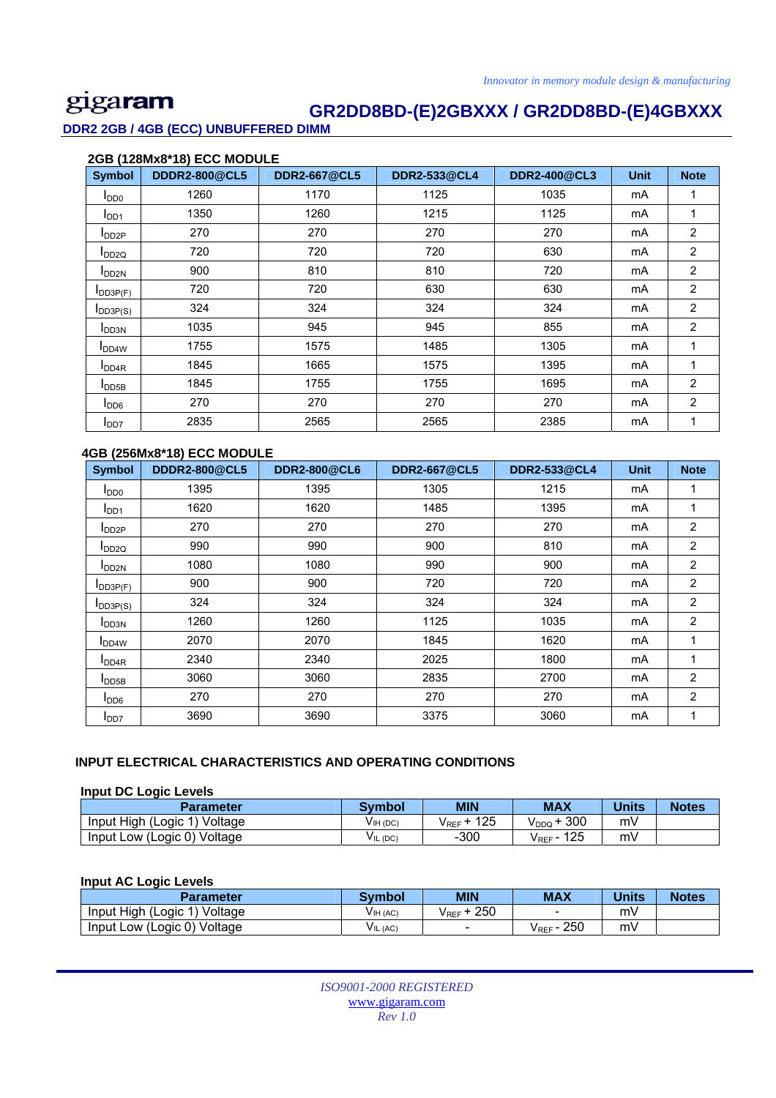### **GR2DD8BD-(E)2GBXXX / GR2DD8BD-(E)4GBXXX**

**DDR2 2GB / 4GB (ECC) UNBUFFERED DIMM** 

|                            | 2GB (128Mx8*18) ECC MODULE |                     |                     |                     |             |                |  |  |  |  |  |
|----------------------------|----------------------------|---------------------|---------------------|---------------------|-------------|----------------|--|--|--|--|--|
| <b>Symbol</b>              | <b>DDDR2-800@CL5</b>       | <b>DDR2-667@CL5</b> | <b>DDR2-533@CL4</b> | <b>DDR2-400@CL3</b> | <b>Unit</b> | <b>Note</b>    |  |  |  |  |  |
| $I_{DD0}$                  | 1260                       | 1170                | 1125                | 1035                | mA          | 1              |  |  |  |  |  |
| I <sub>DD1</sub>           | 1350                       | 1260                | 1215                | 1125                | mA          | 1              |  |  |  |  |  |
| $I_{DD2P}$                 | 270                        | 270                 | 270                 | 270                 | mA          | 2              |  |  |  |  |  |
| $I_{DD2Q}$                 | 720                        | 720                 | 720                 | 630                 | mA          | 2              |  |  |  |  |  |
| I <sub>DD2N</sub>          | 900                        | 810                 | 810                 | 720                 | mA          | 2              |  |  |  |  |  |
| IDD3P(F)                   | 720                        | 720                 | 630                 | 630                 | mA          | 2              |  |  |  |  |  |
| $I_{DD3P(S)}$              | 324                        | 324                 | 324                 | 324                 | mA          | 2              |  |  |  |  |  |
| I <sub>DD3N</sub>          | 1035                       | 945                 | 945                 | 855                 | mA          | $\overline{2}$ |  |  |  |  |  |
| <b>I</b> DD <sub>4</sub> W | 1755                       | 1575                | 1485                | 1305                | mA          | 1              |  |  |  |  |  |
| I <sub>DD4R</sub>          | 1845                       | 1665                | 1575                | 1395                | mA          | 1              |  |  |  |  |  |
| $I_{\text{DD5B}}$          | 1845                       | 1755                | 1755                | 1695                | mA          | 2              |  |  |  |  |  |
| $I_{DD6}$                  | 270                        | 270                 | 270                 | 270                 | mA          | 2              |  |  |  |  |  |
| $I_{DD7}$                  | 2835                       | 2565                | 2565                | 2385                | mA          | 1              |  |  |  |  |  |

### **4GB (256Mx8\*18) ECC MODULE**

| <b>Symbol</b>             | <b>DDDR2-800@CL5</b> | <b>DDR2-800@CL6</b> | <b>DDR2-667@CL5</b> | <b>DDR2-533@CL4</b> | <b>Unit</b> | <b>Note</b>    |
|---------------------------|----------------------|---------------------|---------------------|---------------------|-------------|----------------|
| $I_{DD0}$                 | 1395                 | 1395                | 1305                | 1215                | mA          | 1              |
| I <sub>DD1</sub>          | 1620                 | 1620                | 1485                | 1395                | mA          | 1              |
| $I_{DD2P}$                | 270                  | 270                 | 270                 | 270                 | mA          | 2              |
| <b>I</b> DD <sub>2Q</sub> | 990                  | 990                 | 900                 | 810                 | mA          | 2              |
| <b>I</b> DD <sub>2N</sub> | 1080                 | 1080                | 990                 | 900                 | mA          | 2              |
| IDD3P(F)                  | 900                  | 900                 | 720                 | 720                 | mA          | 2              |
| $I_{DD3P(S)}$             | 324                  | 324                 | 324                 | 324                 | mA          | 2              |
| <b>I</b> DD3N             | 1260                 | 1260                | 1125                | 1035                | mA          | 2              |
| <b>IDD4W</b>              | 2070                 | 2070                | 1845                | 1620                | mA          | 1              |
| I <sub>DD4R</sub>         | 2340                 | 2340                | 2025                | 1800                | mA          | 1              |
| $I_{DD5B}$                | 3060                 | 3060                | 2835                | 2700                | mA          | $\overline{2}$ |
| $I_{DD6}$                 | 270                  | 270                 | 270                 | 270                 | mA          | 2              |
| <b>I</b> DD7              | 3690                 | 3690                | 3375                | 3060                | mA          | 1              |

#### **INPUT ELECTRICAL CHARACTERISTICS AND OPERATING CONDITIONS**

#### **Input DC Logic Levels**

| <b>Parameter</b>             | <b>Symbol</b> | <b>MIN</b>  | <b>MAX</b>              | Units | <b>Notes</b> |
|------------------------------|---------------|-------------|-------------------------|-------|--------------|
| Input High (Logic<br>Voltage | $VIH$ (DC)    | 125<br>VREF | 300<br>V <sub>DDQ</sub> | mV    |              |
| Input Low (Logic 0) Voltage  | VIL (DC)      | $-300$      | 125<br>VREF "           | m٧    |              |

### **Input AC Logic Levels**

| <b>Parameter</b>             | <b>Symbol</b> | <b>MIN</b>  | <b>MAX</b>    | <b>Units</b> | <b>Notes</b> |
|------------------------------|---------------|-------------|---------------|--------------|--------------|
| Input High (Logic 1) Voltage | V IH (AC)     | 250<br>VREF |               | m۷           |              |
| Input Low (Logic 0) Voltage  | V IL (AC)     | -           | 250<br>Vref - | mv           |              |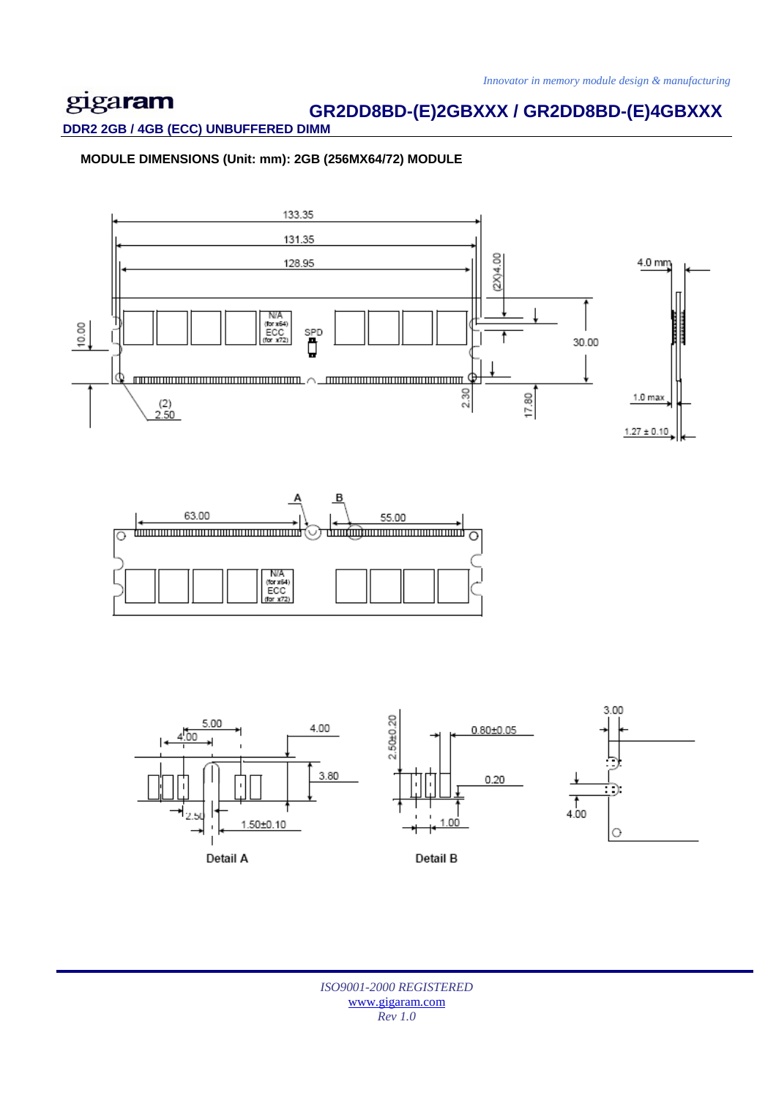# **GR2DD8BD-(E)2GBXXX / GR2DD8BD-(E)4GBXXX**

**DDR2 2GB / 4GB (ECC) UNBUFFERED DIMM** 

 **MODULE DIMENSIONS (Unit: mm): 2GB (256MX64/72) MODULE**